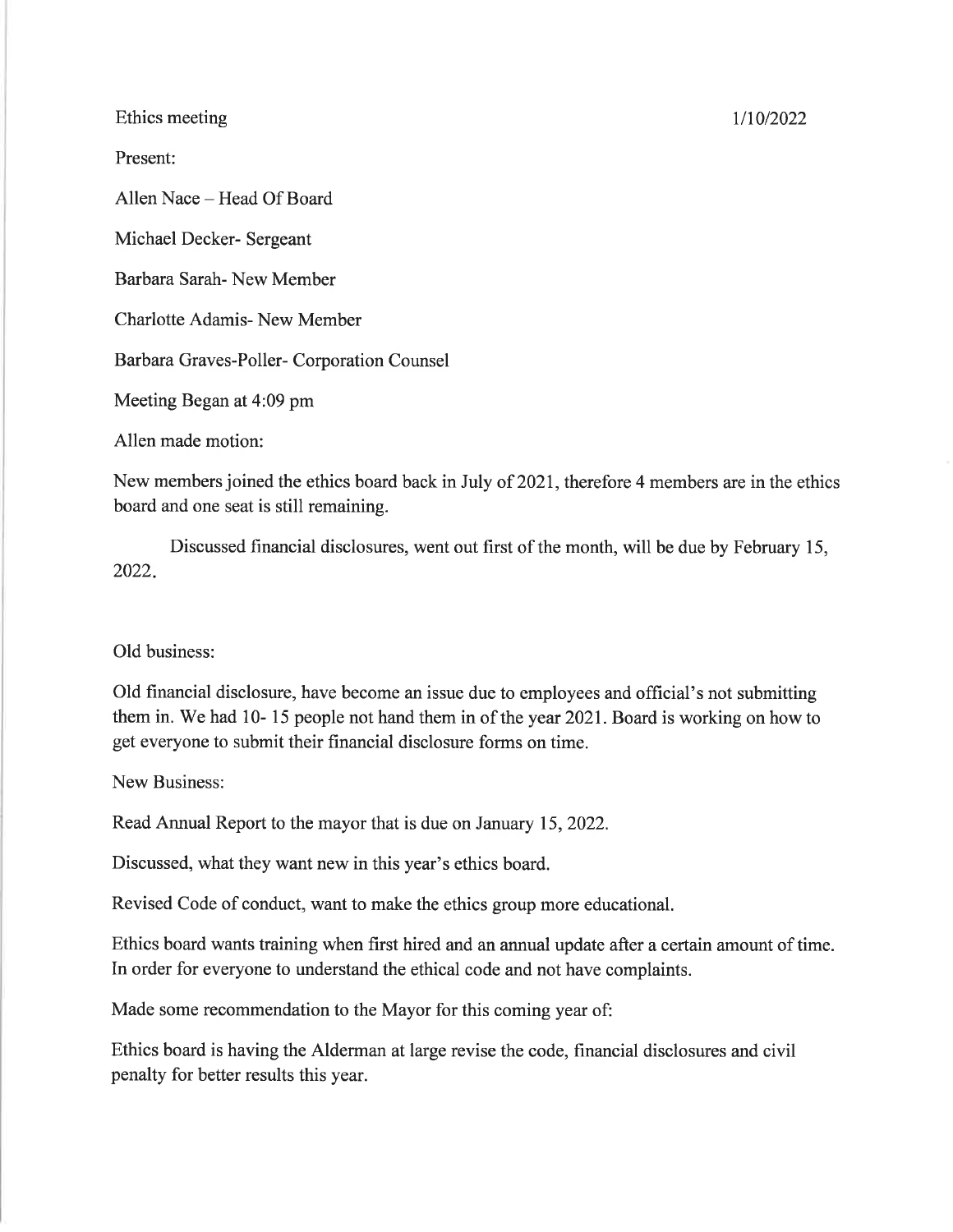## Ethics meeting

Present:

Allen Nace - Head Of Board

Michael Decker- Sergeant

Barbara Sarah- New Member

Charlotte Adamis- New Member

Barbara Graves-Poller- Corporation Counsel

Meeting Began at 4:09 pm

Allen made motion:

New members joined the ethics board back in July of 2021, therefore 4 members are in the ethics board and one seat is still remaining.

Discussed financial disclosures, went out first of the month, will be due by February 15, 2022

## Old business:

Old financial disclosure, have become an issue due to employees and official's not submitting them in. We had 10- 15 people not hand them in of the year 2021. Board is working on how to get everyone to submit their financial disclosure forms on time.

New Business:

Read Annual Report to the mayor that is due on January 15,2022.

Discussed, what they want new in this year's ethics board.

Revised Code of conduct, want to make the ethics group more educational.

Ethics board wants training when first hired and an annual update after a certain amount of time. In order for everyone to understand the ethical code and not have complaints.

Made some recommendation to the Mayor for this coming year of:

Ethics board is having the Alderman at large revise the code, financial disclosures and civil penalty for better results this year.